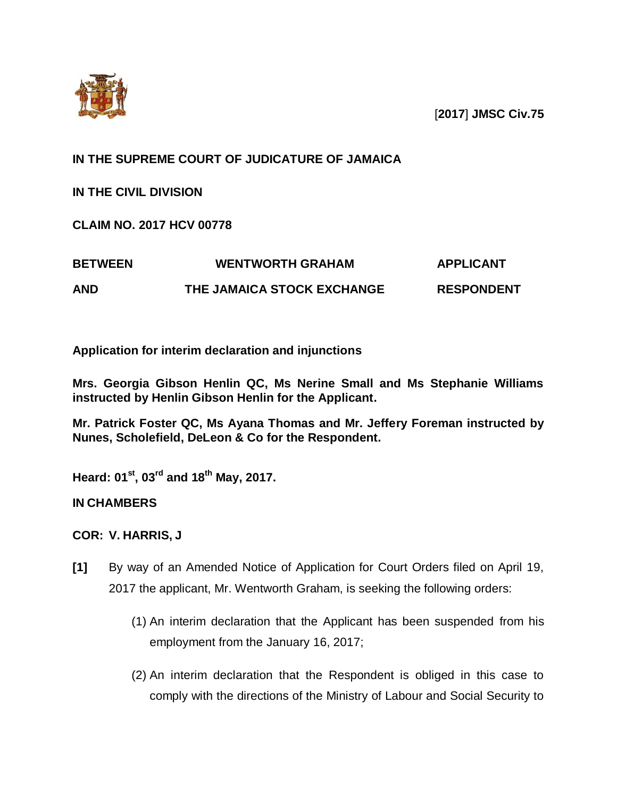

[**2017**] **JMSC Civ.75**

### **IN THE SUPREME COURT OF JUDICATURE OF JAMAICA**

**IN THE CIVIL DIVISION**

**CLAIM NO. 2017 HCV 00778**

| <b>BETWEEN</b> | <b>WENTWORTH GRAHAM</b>    | <b>APPLICANT</b>  |
|----------------|----------------------------|-------------------|
| <b>AND</b>     | THE JAMAICA STOCK EXCHANGE | <b>RESPONDENT</b> |

**Application for interim declaration and injunctions**

**Mrs. Georgia Gibson Henlin QC, Ms Nerine Small and Ms Stephanie Williams instructed by Henlin Gibson Henlin for the Applicant.**

**Mr. Patrick Foster QC, Ms Ayana Thomas and Mr. Jeffery Foreman instructed by Nunes, Scholefield, DeLeon & Co for the Respondent.**

**Heard: 01 st, 03rd and 18 th May, 2017.**

**IN CHAMBERS**

**COR: V. HARRIS, J**

- **[1]** By way of an Amended Notice of Application for Court Orders filed on April 19, 2017 the applicant, Mr. Wentworth Graham, is seeking the following orders:
	- (1) An interim declaration that the Applicant has been suspended from his employment from the January 16, 2017;
	- (2) An interim declaration that the Respondent is obliged in this case to comply with the directions of the Ministry of Labour and Social Security to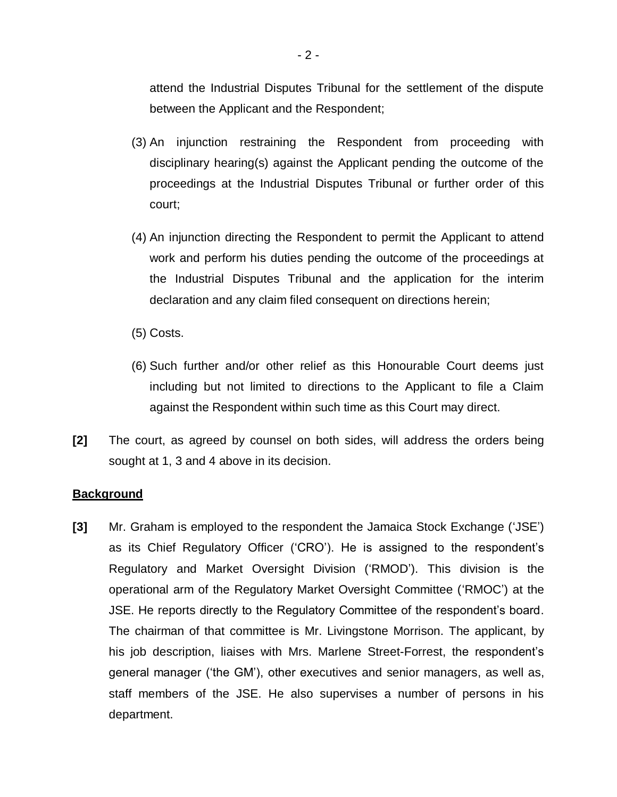attend the Industrial Disputes Tribunal for the settlement of the dispute between the Applicant and the Respondent;

- (3) An injunction restraining the Respondent from proceeding with disciplinary hearing(s) against the Applicant pending the outcome of the proceedings at the Industrial Disputes Tribunal or further order of this court;
- (4) An injunction directing the Respondent to permit the Applicant to attend work and perform his duties pending the outcome of the proceedings at the Industrial Disputes Tribunal and the application for the interim declaration and any claim filed consequent on directions herein;
- (5) Costs.
- (6) Such further and/or other relief as this Honourable Court deems just including but not limited to directions to the Applicant to file a Claim against the Respondent within such time as this Court may direct.
- **[2]** The court, as agreed by counsel on both sides, will address the orders being sought at 1, 3 and 4 above in its decision.

### **Background**

**[3]** Mr. Graham is employed to the respondent the Jamaica Stock Exchange ('JSE') as its Chief Regulatory Officer ('CRO'). He is assigned to the respondent's Regulatory and Market Oversight Division ('RMOD'). This division is the operational arm of the Regulatory Market Oversight Committee ('RMOC') at the JSE. He reports directly to the Regulatory Committee of the respondent's board. The chairman of that committee is Mr. Livingstone Morrison. The applicant, by his job description, liaises with Mrs. Marlene Street-Forrest, the respondent's general manager ('the GM'), other executives and senior managers, as well as, staff members of the JSE. He also supervises a number of persons in his department.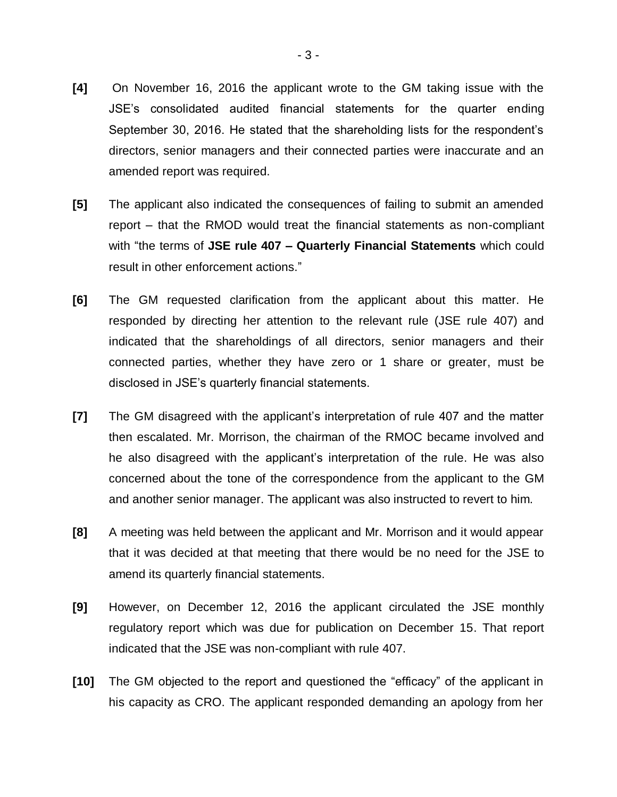- **[4]** On November 16, 2016 the applicant wrote to the GM taking issue with the JSE's consolidated audited financial statements for the quarter ending September 30, 2016. He stated that the shareholding lists for the respondent's directors, senior managers and their connected parties were inaccurate and an amended report was required.
- **[5]** The applicant also indicated the consequences of failing to submit an amended report – that the RMOD would treat the financial statements as non-compliant with "the terms of **JSE rule 407 – Quarterly Financial Statements** which could result in other enforcement actions."
- **[6]** The GM requested clarification from the applicant about this matter. He responded by directing her attention to the relevant rule (JSE rule 407) and indicated that the shareholdings of all directors, senior managers and their connected parties, whether they have zero or 1 share or greater, must be disclosed in JSE's quarterly financial statements.
- **[7]** The GM disagreed with the applicant's interpretation of rule 407 and the matter then escalated. Mr. Morrison, the chairman of the RMOC became involved and he also disagreed with the applicant's interpretation of the rule. He was also concerned about the tone of the correspondence from the applicant to the GM and another senior manager. The applicant was also instructed to revert to him.
- **[8]** A meeting was held between the applicant and Mr. Morrison and it would appear that it was decided at that meeting that there would be no need for the JSE to amend its quarterly financial statements.
- **[9]** However, on December 12, 2016 the applicant circulated the JSE monthly regulatory report which was due for publication on December 15. That report indicated that the JSE was non-compliant with rule 407.
- **[10]** The GM objected to the report and questioned the "efficacy" of the applicant in his capacity as CRO. The applicant responded demanding an apology from her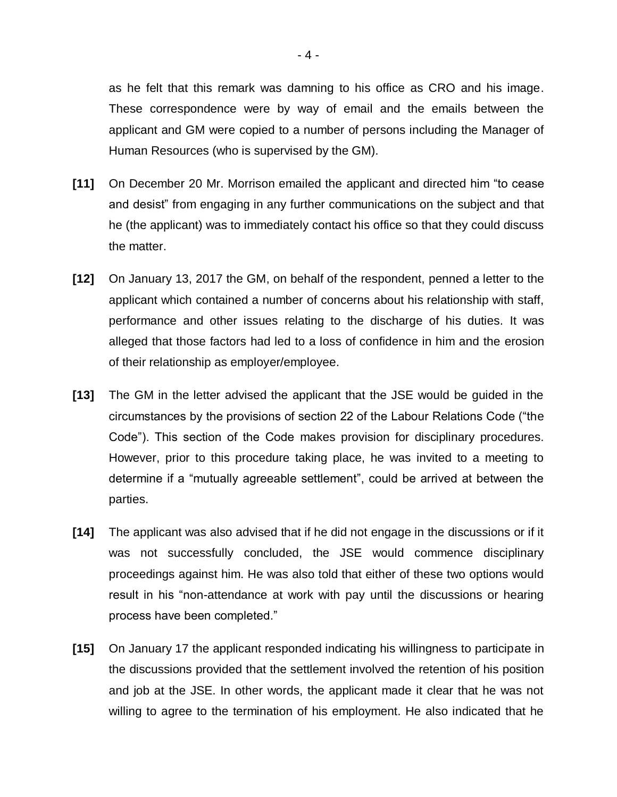as he felt that this remark was damning to his office as CRO and his image. These correspondence were by way of email and the emails between the applicant and GM were copied to a number of persons including the Manager of Human Resources (who is supervised by the GM).

- **[11]** On December 20 Mr. Morrison emailed the applicant and directed him "to cease and desist" from engaging in any further communications on the subject and that he (the applicant) was to immediately contact his office so that they could discuss the matter.
- **[12]** On January 13, 2017 the GM, on behalf of the respondent, penned a letter to the applicant which contained a number of concerns about his relationship with staff, performance and other issues relating to the discharge of his duties. It was alleged that those factors had led to a loss of confidence in him and the erosion of their relationship as employer/employee.
- **[13]** The GM in the letter advised the applicant that the JSE would be guided in the circumstances by the provisions of section 22 of the Labour Relations Code ("the Code"). This section of the Code makes provision for disciplinary procedures. However, prior to this procedure taking place, he was invited to a meeting to determine if a "mutually agreeable settlement", could be arrived at between the parties.
- **[14]** The applicant was also advised that if he did not engage in the discussions or if it was not successfully concluded, the JSE would commence disciplinary proceedings against him. He was also told that either of these two options would result in his "non-attendance at work with pay until the discussions or hearing process have been completed."
- **[15]** On January 17 the applicant responded indicating his willingness to participate in the discussions provided that the settlement involved the retention of his position and job at the JSE. In other words, the applicant made it clear that he was not willing to agree to the termination of his employment. He also indicated that he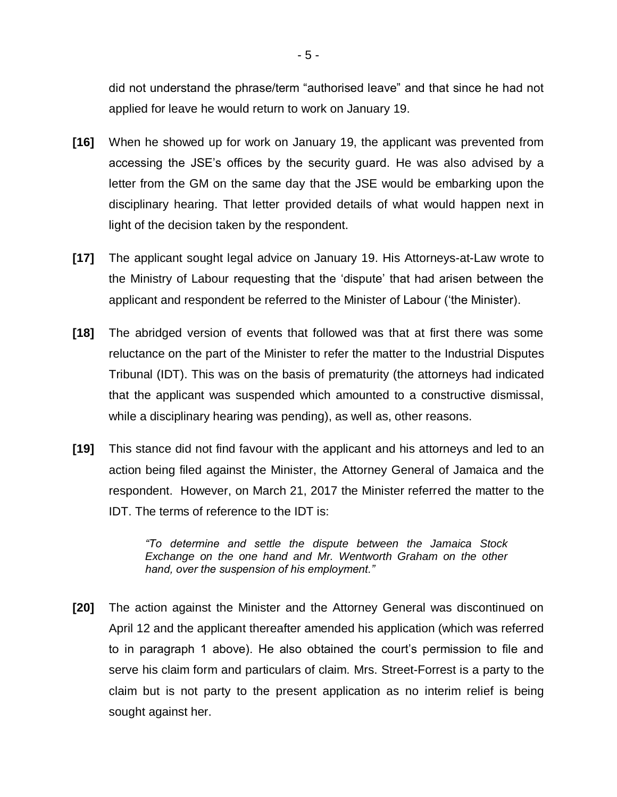did not understand the phrase/term "authorised leave" and that since he had not applied for leave he would return to work on January 19.

- **[16]** When he showed up for work on January 19, the applicant was prevented from accessing the JSE's offices by the security guard. He was also advised by a letter from the GM on the same day that the JSE would be embarking upon the disciplinary hearing. That letter provided details of what would happen next in light of the decision taken by the respondent.
- **[17]** The applicant sought legal advice on January 19. His Attorneys-at-Law wrote to the Ministry of Labour requesting that the 'dispute' that had arisen between the applicant and respondent be referred to the Minister of Labour ('the Minister).
- **[18]** The abridged version of events that followed was that at first there was some reluctance on the part of the Minister to refer the matter to the Industrial Disputes Tribunal (IDT). This was on the basis of prematurity (the attorneys had indicated that the applicant was suspended which amounted to a constructive dismissal, while a disciplinary hearing was pending), as well as, other reasons.
- **[19]** This stance did not find favour with the applicant and his attorneys and led to an action being filed against the Minister, the Attorney General of Jamaica and the respondent. However, on March 21, 2017 the Minister referred the matter to the IDT. The terms of reference to the IDT is:

*"To determine and settle the dispute between the Jamaica Stock Exchange on the one hand and Mr. Wentworth Graham on the other hand, over the suspension of his employment."*

**[20]** The action against the Minister and the Attorney General was discontinued on April 12 and the applicant thereafter amended his application (which was referred to in paragraph 1 above). He also obtained the court's permission to file and serve his claim form and particulars of claim. Mrs. Street-Forrest is a party to the claim but is not party to the present application as no interim relief is being sought against her.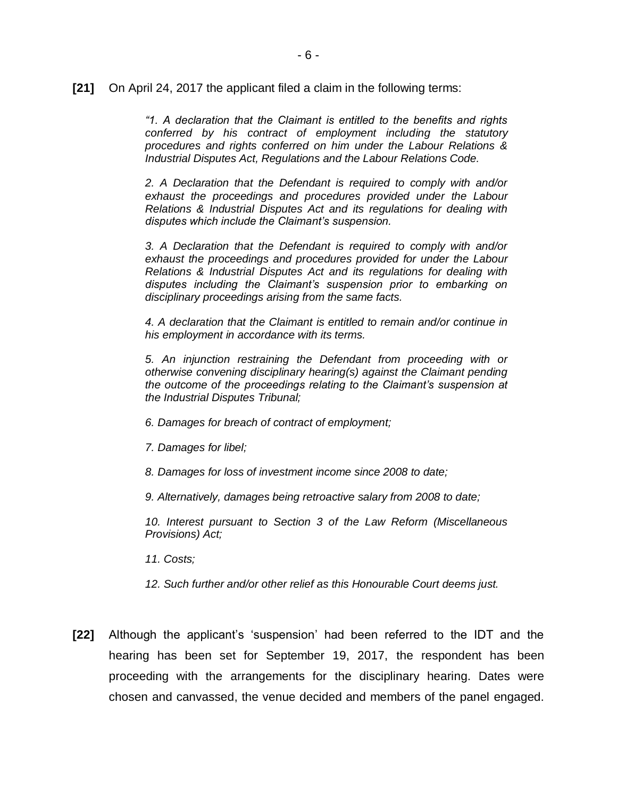**[21]** On April 24, 2017 the applicant filed a claim in the following terms:

*"1. A declaration that the Claimant is entitled to the benefits and rights conferred by his contract of employment including the statutory procedures and rights conferred on him under the Labour Relations & Industrial Disputes Act, Regulations and the Labour Relations Code.*

*2. A Declaration that the Defendant is required to comply with and/or exhaust the proceedings and procedures provided under the Labour Relations & Industrial Disputes Act and its regulations for dealing with disputes which include the Claimant's suspension.*

*3. A Declaration that the Defendant is required to comply with and/or exhaust the proceedings and procedures provided for under the Labour Relations & Industrial Disputes Act and its regulations for dealing with disputes including the Claimant's suspension prior to embarking on disciplinary proceedings arising from the same facts.*

*4. A declaration that the Claimant is entitled to remain and/or continue in his employment in accordance with its terms.*

*5. An injunction restraining the Defendant from proceeding with or otherwise convening disciplinary hearing(s) against the Claimant pending the outcome of the proceedings relating to the Claimant's suspension at the Industrial Disputes Tribunal;*

- *6. Damages for breach of contract of employment;*
- *7. Damages for libel;*
- *8. Damages for loss of investment income since 2008 to date;*

*9. Alternatively, damages being retroactive salary from 2008 to date;*

*10. Interest pursuant to Section 3 of the Law Reform (Miscellaneous Provisions) Act;*

- *11. Costs;*
- *12. Such further and/or other relief as this Honourable Court deems just.*
- **[22]** Although the applicant's 'suspension' had been referred to the IDT and the hearing has been set for September 19, 2017, the respondent has been proceeding with the arrangements for the disciplinary hearing. Dates were chosen and canvassed, the venue decided and members of the panel engaged.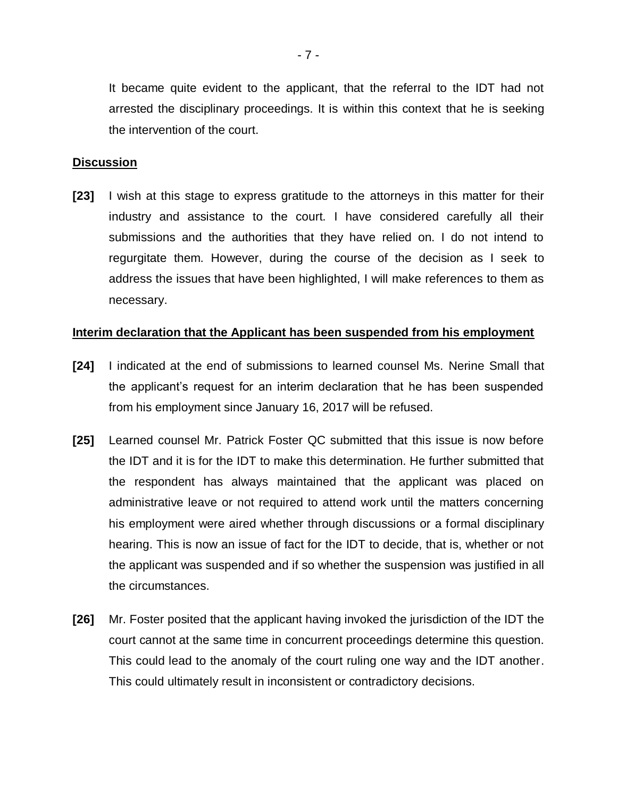It became quite evident to the applicant, that the referral to the IDT had not arrested the disciplinary proceedings. It is within this context that he is seeking the intervention of the court.

### **Discussion**

**[23]** I wish at this stage to express gratitude to the attorneys in this matter for their industry and assistance to the court. I have considered carefully all their submissions and the authorities that they have relied on. I do not intend to regurgitate them. However, during the course of the decision as I seek to address the issues that have been highlighted, I will make references to them as necessary.

### **Interim declaration that the Applicant has been suspended from his employment**

- **[24]** I indicated at the end of submissions to learned counsel Ms. Nerine Small that the applicant's request for an interim declaration that he has been suspended from his employment since January 16, 2017 will be refused.
- **[25]** Learned counsel Mr. Patrick Foster QC submitted that this issue is now before the IDT and it is for the IDT to make this determination. He further submitted that the respondent has always maintained that the applicant was placed on administrative leave or not required to attend work until the matters concerning his employment were aired whether through discussions or a formal disciplinary hearing. This is now an issue of fact for the IDT to decide, that is, whether or not the applicant was suspended and if so whether the suspension was justified in all the circumstances.
- **[26]** Mr. Foster posited that the applicant having invoked the jurisdiction of the IDT the court cannot at the same time in concurrent proceedings determine this question. This could lead to the anomaly of the court ruling one way and the IDT another. This could ultimately result in inconsistent or contradictory decisions.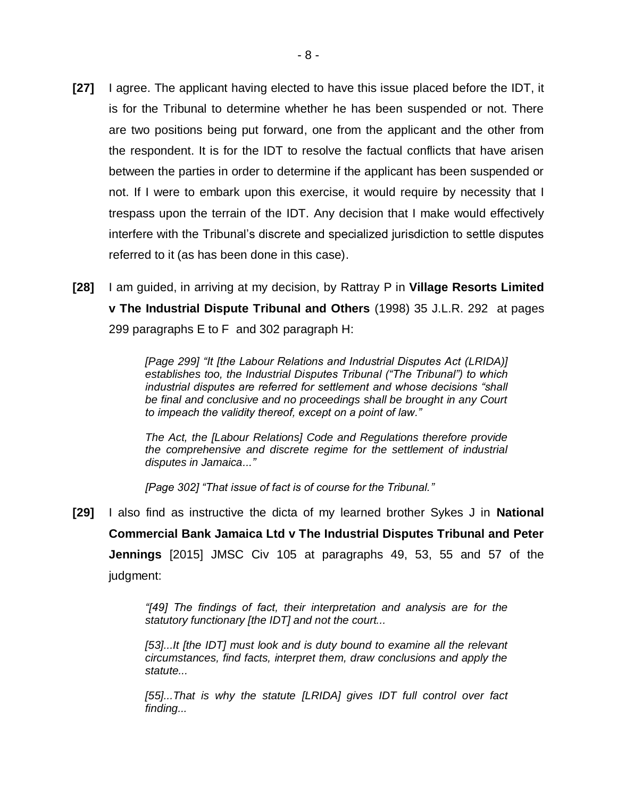- **[27]** I agree. The applicant having elected to have this issue placed before the IDT, it is for the Tribunal to determine whether he has been suspended or not. There are two positions being put forward, one from the applicant and the other from the respondent. It is for the IDT to resolve the factual conflicts that have arisen between the parties in order to determine if the applicant has been suspended or not. If I were to embark upon this exercise, it would require by necessity that I trespass upon the terrain of the IDT. Any decision that I make would effectively interfere with the Tribunal's discrete and specialized jurisdiction to settle disputes referred to it (as has been done in this case).
- **[28]** I am guided, in arriving at my decision, by Rattray P in **Village Resorts Limited v The Industrial Dispute Tribunal and Others** (1998) 35 J.L.R. 292 at pages 299 paragraphs E to F and 302 paragraph H:

*[Page 299] "It [the Labour Relations and Industrial Disputes Act (LRIDA)] establishes too, the Industrial Disputes Tribunal ("The Tribunal") to which industrial disputes are referred for settlement and whose decisions "shall be final and conclusive and no proceedings shall be brought in any Court to impeach the validity thereof, except on a point of law."*

*The Act, the [Labour Relations] Code and Regulations therefore provide the comprehensive and discrete regime for the settlement of industrial disputes in Jamaica..."*

*[Page 302] "That issue of fact is of course for the Tribunal."*

**[29]** I also find as instructive the dicta of my learned brother Sykes J in **National Commercial Bank Jamaica Ltd v The Industrial Disputes Tribunal and Peter Jennings** [2015] JMSC Civ 105 at paragraphs 49, 53, 55 and 57 of the judgment:

> *"[49] The findings of fact, their interpretation and analysis are for the statutory functionary [the IDT] and not the court...*

> *[53]...It [the IDT] must look and is duty bound to examine all the relevant circumstances, find facts, interpret them, draw conclusions and apply the statute...*

> *[55]...That is why the statute [LRIDA] gives IDT full control over fact finding...*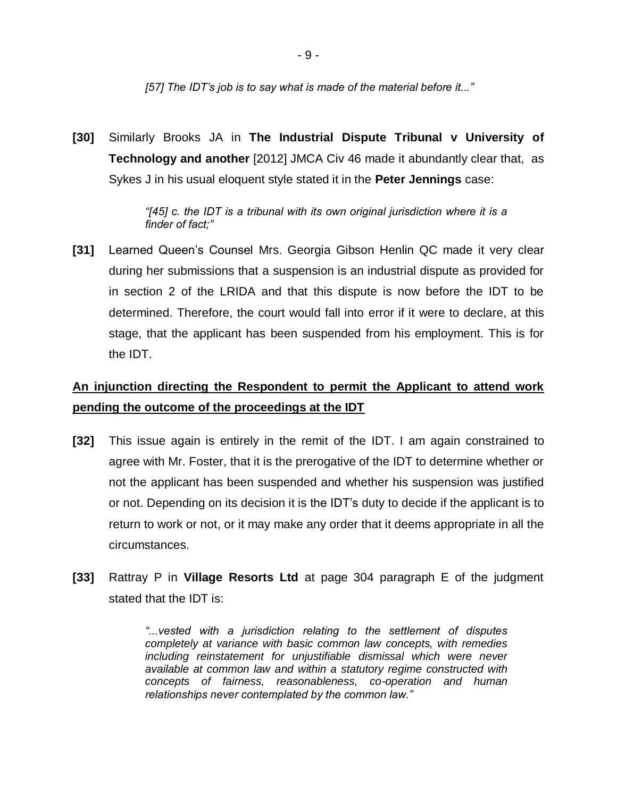*[57] The IDT's job is to say what is made of the material before it..."*

**[30]** Similarly Brooks JA in **The Industrial Dispute Tribunal v University of Technology and another** [2012] JMCA Civ 46 made it abundantly clear that, as Sykes J in his usual eloquent style stated it in the **Peter Jennings** case:

> *"[45] c. the IDT is a tribunal with its own original jurisdiction where it is a finder of fact;"*

**[31]** Learned Queen's Counsel Mrs. Georgia Gibson Henlin QC made it very clear during her submissions that a suspension is an industrial dispute as provided for in section 2 of the LRIDA and that this dispute is now before the IDT to be determined. Therefore, the court would fall into error if it were to declare, at this stage, that the applicant has been suspended from his employment. This is for the IDT.

## **An injunction directing the Respondent to permit the Applicant to attend work pending the outcome of the proceedings at the IDT**

- **[32]** This issue again is entirely in the remit of the IDT. I am again constrained to agree with Mr. Foster, that it is the prerogative of the IDT to determine whether or not the applicant has been suspended and whether his suspension was justified or not. Depending on its decision it is the IDT's duty to decide if the applicant is to return to work or not, or it may make any order that it deems appropriate in all the circumstances.
- **[33]** Rattray P in **Village Resorts Ltd** at page 304 paragraph E of the judgment stated that the IDT is:

*"...vested with a jurisdiction relating to the settlement of disputes completely at variance with basic common law concepts, with remedies including reinstatement for unjustifiable dismissal which were never available at common law and within a statutory regime constructed with concepts of fairness, reasonableness, co-operation and human relationships never contemplated by the common law."*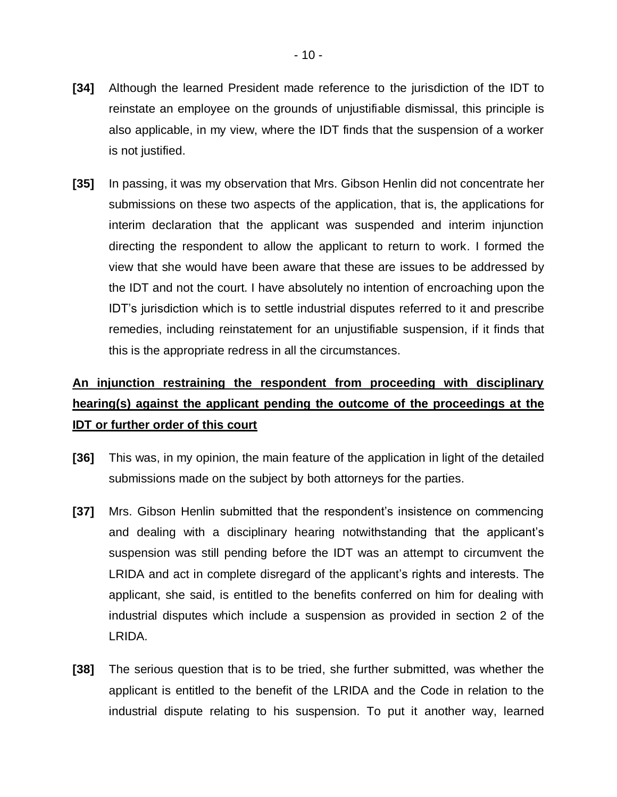- **[34]** Although the learned President made reference to the jurisdiction of the IDT to reinstate an employee on the grounds of unjustifiable dismissal, this principle is also applicable, in my view, where the IDT finds that the suspension of a worker is not justified.
- **[35]** In passing, it was my observation that Mrs. Gibson Henlin did not concentrate her submissions on these two aspects of the application, that is, the applications for interim declaration that the applicant was suspended and interim injunction directing the respondent to allow the applicant to return to work. I formed the view that she would have been aware that these are issues to be addressed by the IDT and not the court. I have absolutely no intention of encroaching upon the IDT's jurisdiction which is to settle industrial disputes referred to it and prescribe remedies, including reinstatement for an unjustifiable suspension, if it finds that this is the appropriate redress in all the circumstances.

# **An injunction restraining the respondent from proceeding with disciplinary hearing(s) against the applicant pending the outcome of the proceedings at the IDT or further order of this court**

- **[36]** This was, in my opinion, the main feature of the application in light of the detailed submissions made on the subject by both attorneys for the parties.
- **[37]** Mrs. Gibson Henlin submitted that the respondent's insistence on commencing and dealing with a disciplinary hearing notwithstanding that the applicant's suspension was still pending before the IDT was an attempt to circumvent the LRIDA and act in complete disregard of the applicant's rights and interests. The applicant, she said, is entitled to the benefits conferred on him for dealing with industrial disputes which include a suspension as provided in section 2 of the LRIDA.
- **[38]** The serious question that is to be tried, she further submitted, was whether the applicant is entitled to the benefit of the LRIDA and the Code in relation to the industrial dispute relating to his suspension. To put it another way, learned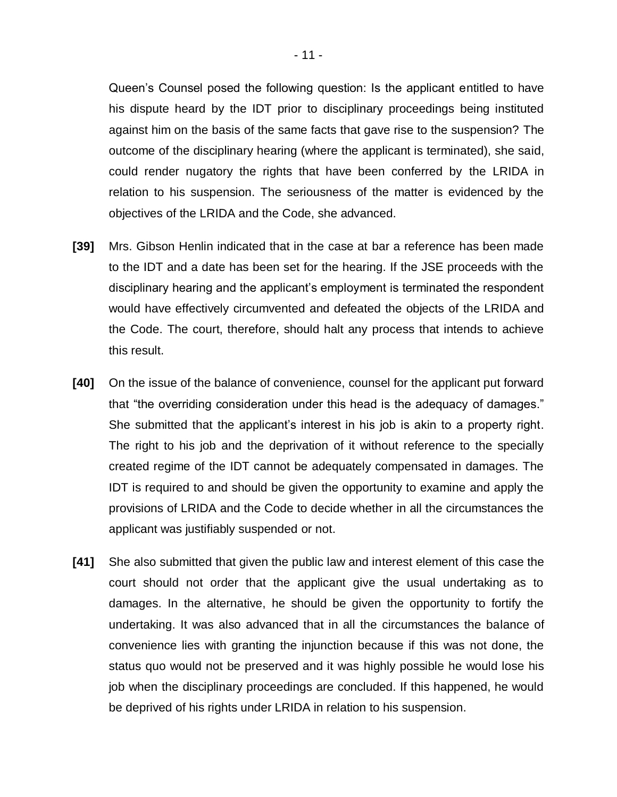Queen's Counsel posed the following question: Is the applicant entitled to have his dispute heard by the IDT prior to disciplinary proceedings being instituted against him on the basis of the same facts that gave rise to the suspension? The outcome of the disciplinary hearing (where the applicant is terminated), she said, could render nugatory the rights that have been conferred by the LRIDA in relation to his suspension. The seriousness of the matter is evidenced by the objectives of the LRIDA and the Code, she advanced.

- **[39]** Mrs. Gibson Henlin indicated that in the case at bar a reference has been made to the IDT and a date has been set for the hearing. If the JSE proceeds with the disciplinary hearing and the applicant's employment is terminated the respondent would have effectively circumvented and defeated the objects of the LRIDA and the Code. The court, therefore, should halt any process that intends to achieve this result.
- **[40]** On the issue of the balance of convenience, counsel for the applicant put forward that "the overriding consideration under this head is the adequacy of damages." She submitted that the applicant's interest in his job is akin to a property right. The right to his job and the deprivation of it without reference to the specially created regime of the IDT cannot be adequately compensated in damages. The IDT is required to and should be given the opportunity to examine and apply the provisions of LRIDA and the Code to decide whether in all the circumstances the applicant was justifiably suspended or not.
- **[41]** She also submitted that given the public law and interest element of this case the court should not order that the applicant give the usual undertaking as to damages. In the alternative, he should be given the opportunity to fortify the undertaking. It was also advanced that in all the circumstances the balance of convenience lies with granting the injunction because if this was not done, the status quo would not be preserved and it was highly possible he would lose his job when the disciplinary proceedings are concluded. If this happened, he would be deprived of his rights under LRIDA in relation to his suspension.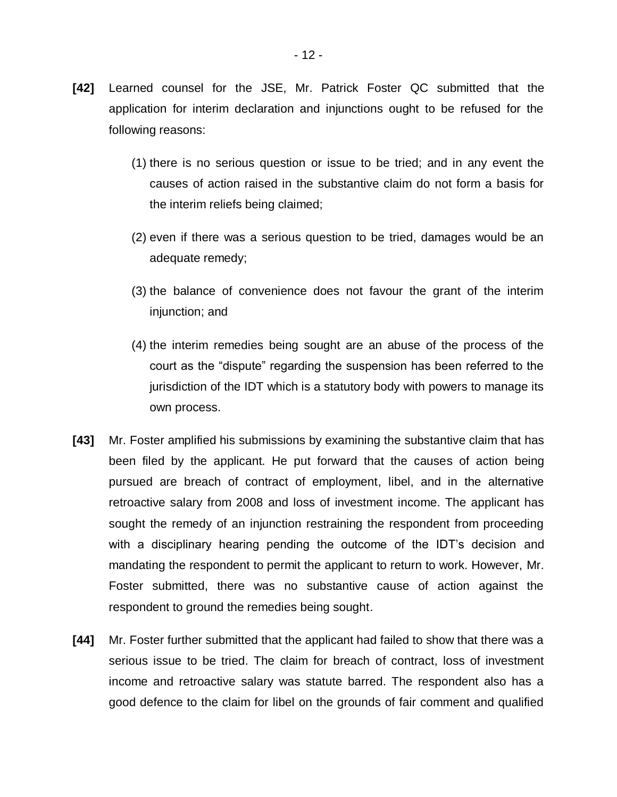- **[42]** Learned counsel for the JSE, Mr. Patrick Foster QC submitted that the application for interim declaration and injunctions ought to be refused for the following reasons:
	- (1) there is no serious question or issue to be tried; and in any event the causes of action raised in the substantive claim do not form a basis for the interim reliefs being claimed;
	- (2) even if there was a serious question to be tried, damages would be an adequate remedy;
	- (3) the balance of convenience does not favour the grant of the interim injunction; and
	- (4) the interim remedies being sought are an abuse of the process of the court as the "dispute" regarding the suspension has been referred to the jurisdiction of the IDT which is a statutory body with powers to manage its own process.
- **[43]** Mr. Foster amplified his submissions by examining the substantive claim that has been filed by the applicant. He put forward that the causes of action being pursued are breach of contract of employment, libel, and in the alternative retroactive salary from 2008 and loss of investment income. The applicant has sought the remedy of an injunction restraining the respondent from proceeding with a disciplinary hearing pending the outcome of the IDT's decision and mandating the respondent to permit the applicant to return to work. However, Mr. Foster submitted, there was no substantive cause of action against the respondent to ground the remedies being sought.
- **[44]** Mr. Foster further submitted that the applicant had failed to show that there was a serious issue to be tried. The claim for breach of contract, loss of investment income and retroactive salary was statute barred. The respondent also has a good defence to the claim for libel on the grounds of fair comment and qualified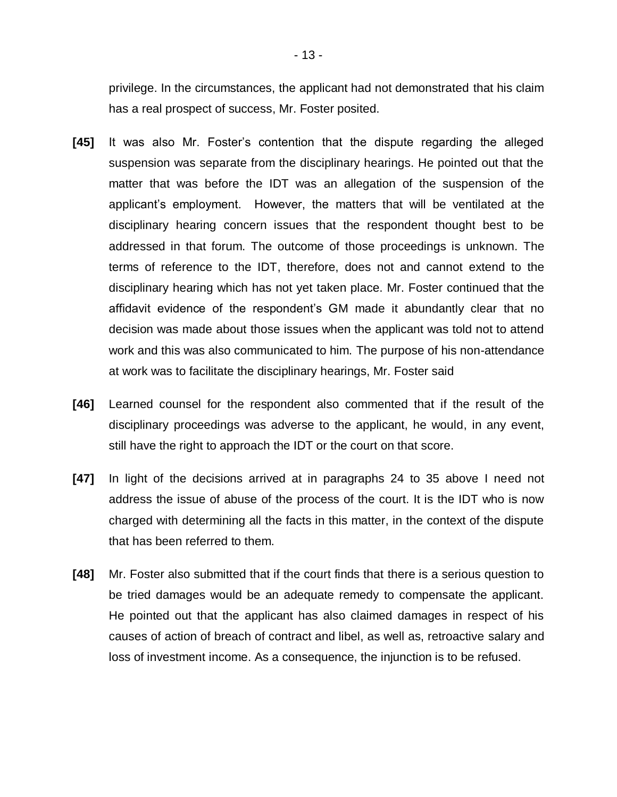privilege. In the circumstances, the applicant had not demonstrated that his claim has a real prospect of success, Mr. Foster posited.

- **[45]** It was also Mr. Foster's contention that the dispute regarding the alleged suspension was separate from the disciplinary hearings. He pointed out that the matter that was before the IDT was an allegation of the suspension of the applicant's employment. However, the matters that will be ventilated at the disciplinary hearing concern issues that the respondent thought best to be addressed in that forum. The outcome of those proceedings is unknown. The terms of reference to the IDT, therefore, does not and cannot extend to the disciplinary hearing which has not yet taken place. Mr. Foster continued that the affidavit evidence of the respondent's GM made it abundantly clear that no decision was made about those issues when the applicant was told not to attend work and this was also communicated to him. The purpose of his non-attendance at work was to facilitate the disciplinary hearings, Mr. Foster said
- **[46]** Learned counsel for the respondent also commented that if the result of the disciplinary proceedings was adverse to the applicant, he would, in any event, still have the right to approach the IDT or the court on that score.
- **[47]** In light of the decisions arrived at in paragraphs 24 to 35 above I need not address the issue of abuse of the process of the court. It is the IDT who is now charged with determining all the facts in this matter, in the context of the dispute that has been referred to them.
- **[48]** Mr. Foster also submitted that if the court finds that there is a serious question to be tried damages would be an adequate remedy to compensate the applicant. He pointed out that the applicant has also claimed damages in respect of his causes of action of breach of contract and libel, as well as, retroactive salary and loss of investment income. As a consequence, the injunction is to be refused.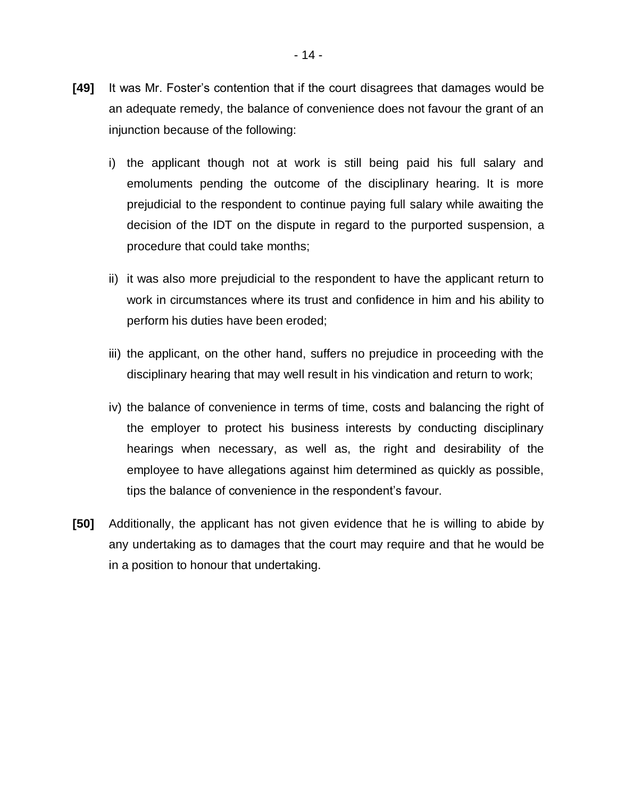- **[49]** It was Mr. Foster's contention that if the court disagrees that damages would be an adequate remedy, the balance of convenience does not favour the grant of an injunction because of the following:
	- i) the applicant though not at work is still being paid his full salary and emoluments pending the outcome of the disciplinary hearing. It is more prejudicial to the respondent to continue paying full salary while awaiting the decision of the IDT on the dispute in regard to the purported suspension, a procedure that could take months;
	- ii) it was also more prejudicial to the respondent to have the applicant return to work in circumstances where its trust and confidence in him and his ability to perform his duties have been eroded;
	- iii) the applicant, on the other hand, suffers no prejudice in proceeding with the disciplinary hearing that may well result in his vindication and return to work;
	- iv) the balance of convenience in terms of time, costs and balancing the right of the employer to protect his business interests by conducting disciplinary hearings when necessary, as well as, the right and desirability of the employee to have allegations against him determined as quickly as possible, tips the balance of convenience in the respondent's favour.
- **[50]** Additionally, the applicant has not given evidence that he is willing to abide by any undertaking as to damages that the court may require and that he would be in a position to honour that undertaking.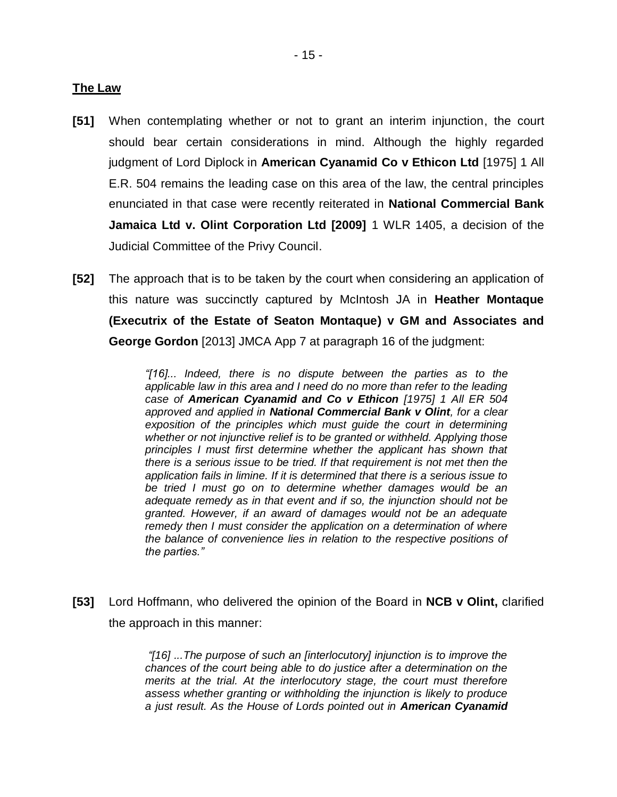### **The Law**

- **[51]** When contemplating whether or not to grant an interim injunction, the court should bear certain considerations in mind. Although the highly regarded judgment of Lord Diplock in **American Cyanamid Co v Ethicon Ltd** [1975] 1 All E.R. 504 remains the leading case on this area of the law, the central principles enunciated in that case were recently reiterated in **National Commercial Bank Jamaica Ltd v. Olint Corporation Ltd [2009]** 1 WLR 1405, a decision of the Judicial Committee of the Privy Council.
- **[52]** The approach that is to be taken by the court when considering an application of this nature was succinctly captured by McIntosh JA in **Heather Montaque (Executrix of the Estate of Seaton Montaque) v GM and Associates and George Gordon** [2013] JMCA App 7 at paragraph 16 of the judgment:

*"[16]... Indeed, there is no dispute between the parties as to the applicable law in this area and I need do no more than refer to the leading case of American Cyanamid and Co v Ethicon [1975] 1 All ER 504 approved and applied in National Commercial Bank v Olint, for a clear exposition of the principles which must guide the court in determining whether or not injunctive relief is to be granted or withheld. Applying those principles I must first determine whether the applicant has shown that there is a serious issue to be tried. If that requirement is not met then the application fails in limine. If it is determined that there is a serious issue to be tried I must go on to determine whether damages would be an adequate remedy as in that event and if so, the injunction should not be granted. However, if an award of damages would not be an adequate remedy then I must consider the application on a determination of where the balance of convenience lies in relation to the respective positions of the parties."*

**[53]** Lord Hoffmann, who delivered the opinion of the Board in **NCB v Olint,** clarified the approach in this manner:

> *"[16] ...The purpose of such an [interlocutory] injunction is to improve the chances of the court being able to do justice after a determination on the merits at the trial. At the interlocutory stage, the court must therefore assess whether granting or withholding the injunction is likely to produce a just result. As the House of Lords pointed out in American Cyanamid*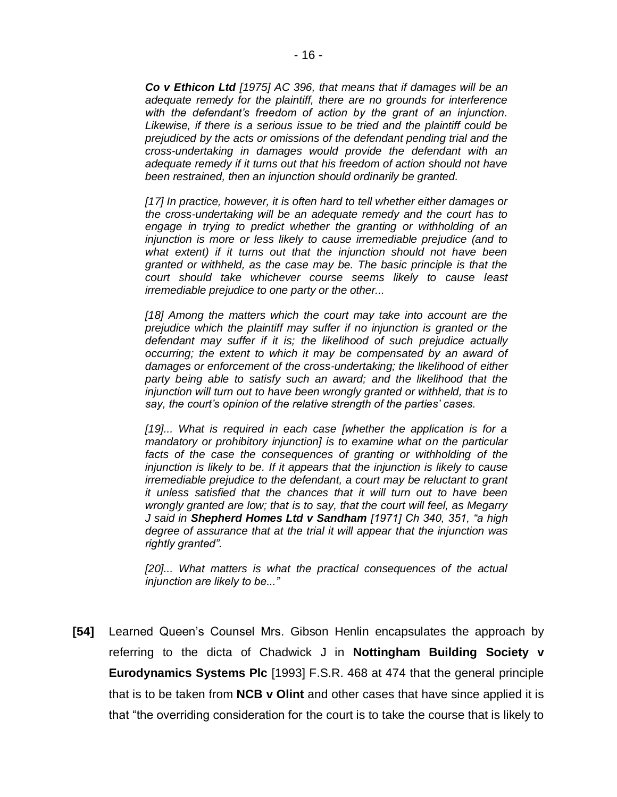*Co v Ethicon Ltd [1975] AC 396, that means that if damages will be an adequate remedy for the plaintiff, there are no grounds for interference with the defendant's freedom of action by the grant of an injunction. Likewise, if there is a serious issue to be tried and the plaintiff could be prejudiced by the acts or omissions of the defendant pending trial and the cross-undertaking in damages would provide the defendant with an adequate remedy if it turns out that his freedom of action should not have been restrained, then an injunction should ordinarily be granted.*

*[17] In practice, however, it is often hard to tell whether either damages or the cross-undertaking will be an adequate remedy and the court has to engage in trying to predict whether the granting or withholding of an injunction is more or less likely to cause irremediable prejudice (and to what extent) if it turns out that the injunction should not have been granted or withheld, as the case may be. The basic principle is that the court should take whichever course seems likely to cause least irremediable prejudice to one party or the other...*

*[18] Among the matters which the court may take into account are the prejudice which the plaintiff may suffer if no injunction is granted or the defendant may suffer if it is; the likelihood of such prejudice actually occurring; the extent to which it may be compensated by an award of damages or enforcement of the cross-undertaking; the likelihood of either party being able to satisfy such an award; and the likelihood that the injunction will turn out to have been wrongly granted or withheld, that is to say, the court's opinion of the relative strength of the parties' cases.*

*[19]... What is required in each case [whether the application is for a mandatory or prohibitory injunction] is to examine what on the particular facts of the case the consequences of granting or withholding of the injunction is likely to be. If it appears that the injunction is likely to cause irremediable prejudice to the defendant, a court may be reluctant to grant it unless satisfied that the chances that it will turn out to have been wrongly granted are low; that is to say, that the court will feel, as Megarry J said in Shepherd Homes Ltd v Sandham [1971] Ch 340, 351, "a high degree of assurance that at the trial it will appear that the injunction was rightly granted".*

[20]... What matters is what the practical consequences of the actual *injunction are likely to be..."* 

**[54]** Learned Queen's Counsel Mrs. Gibson Henlin encapsulates the approach by referring to the dicta of Chadwick J in **Nottingham Building Society v Eurodynamics Systems Plc** [1993] F.S.R. 468 at 474 that the general principle that is to be taken from **NCB v Olint** and other cases that have since applied it is that "the overriding consideration for the court is to take the course that is likely to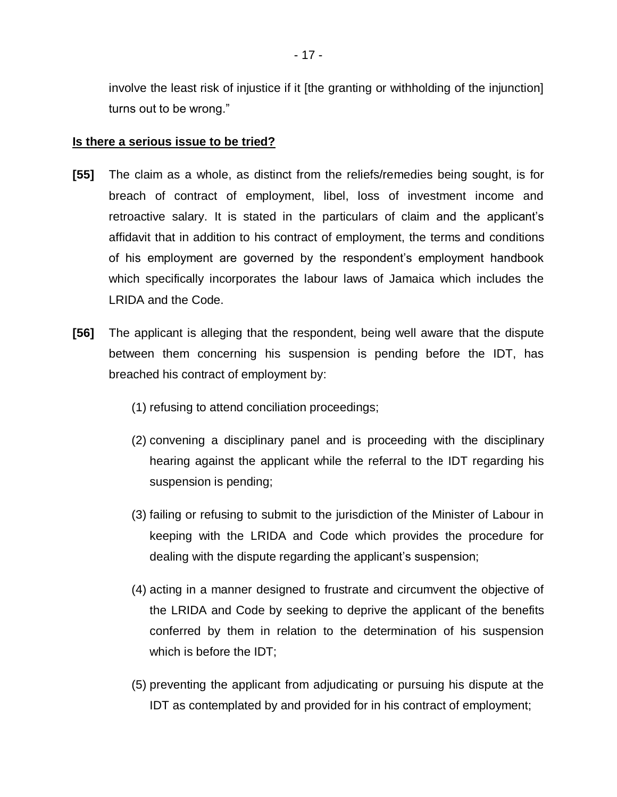involve the least risk of injustice if it [the granting or withholding of the injunction] turns out to be wrong."

### **Is there a serious issue to be tried?**

- **[55]** The claim as a whole, as distinct from the reliefs/remedies being sought, is for breach of contract of employment, libel, loss of investment income and retroactive salary. It is stated in the particulars of claim and the applicant's affidavit that in addition to his contract of employment, the terms and conditions of his employment are governed by the respondent's employment handbook which specifically incorporates the labour laws of Jamaica which includes the LRIDA and the Code.
- **[56]** The applicant is alleging that the respondent, being well aware that the dispute between them concerning his suspension is pending before the IDT, has breached his contract of employment by:
	- (1) refusing to attend conciliation proceedings;
	- (2) convening a disciplinary panel and is proceeding with the disciplinary hearing against the applicant while the referral to the IDT regarding his suspension is pending;
	- (3) failing or refusing to submit to the jurisdiction of the Minister of Labour in keeping with the LRIDA and Code which provides the procedure for dealing with the dispute regarding the applicant's suspension;
	- (4) acting in a manner designed to frustrate and circumvent the objective of the LRIDA and Code by seeking to deprive the applicant of the benefits conferred by them in relation to the determination of his suspension which is before the IDT;
	- (5) preventing the applicant from adjudicating or pursuing his dispute at the IDT as contemplated by and provided for in his contract of employment;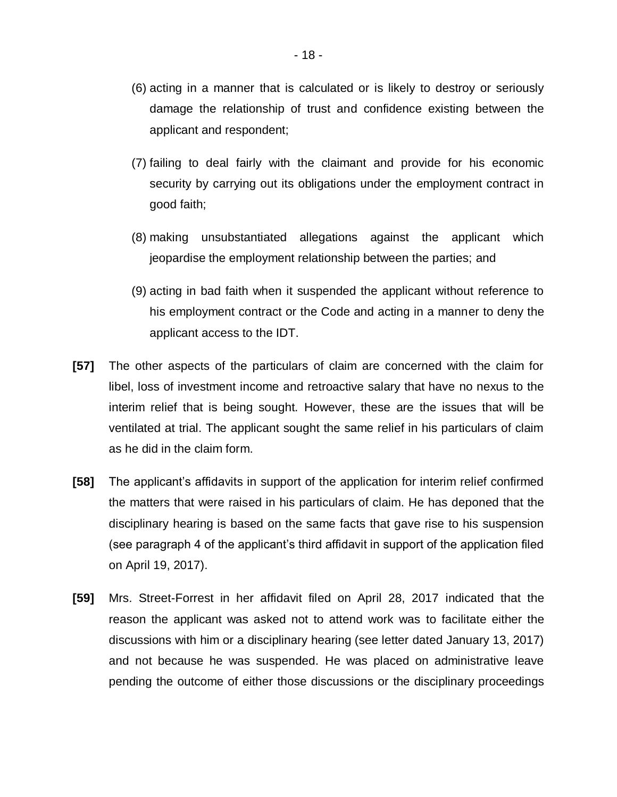- (6) acting in a manner that is calculated or is likely to destroy or seriously damage the relationship of trust and confidence existing between the applicant and respondent;
- (7) failing to deal fairly with the claimant and provide for his economic security by carrying out its obligations under the employment contract in good faith;
- (8) making unsubstantiated allegations against the applicant which jeopardise the employment relationship between the parties; and
- (9) acting in bad faith when it suspended the applicant without reference to his employment contract or the Code and acting in a manner to deny the applicant access to the IDT.
- **[57]** The other aspects of the particulars of claim are concerned with the claim for libel, loss of investment income and retroactive salary that have no nexus to the interim relief that is being sought. However, these are the issues that will be ventilated at trial. The applicant sought the same relief in his particulars of claim as he did in the claim form.
- **[58]** The applicant's affidavits in support of the application for interim relief confirmed the matters that were raised in his particulars of claim. He has deponed that the disciplinary hearing is based on the same facts that gave rise to his suspension (see paragraph 4 of the applicant's third affidavit in support of the application filed on April 19, 2017).
- **[59]** Mrs. Street-Forrest in her affidavit filed on April 28, 2017 indicated that the reason the applicant was asked not to attend work was to facilitate either the discussions with him or a disciplinary hearing (see letter dated January 13, 2017) and not because he was suspended. He was placed on administrative leave pending the outcome of either those discussions or the disciplinary proceedings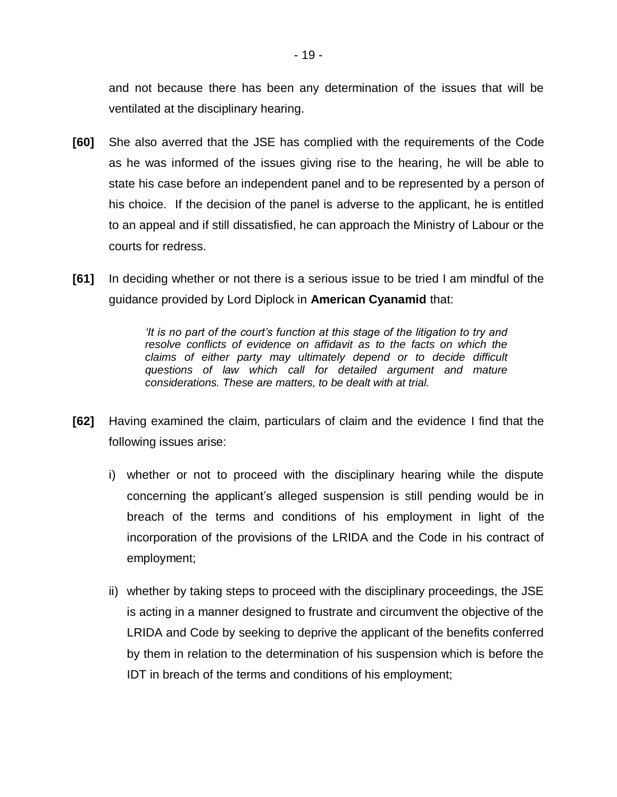and not because there has been any determination of the issues that will be ventilated at the disciplinary hearing.

- **[60]** She also averred that the JSE has complied with the requirements of the Code as he was informed of the issues giving rise to the hearing, he will be able to state his case before an independent panel and to be represented by a person of his choice. If the decision of the panel is adverse to the applicant, he is entitled to an appeal and if still dissatisfied, he can approach the Ministry of Labour or the courts for redress.
- **[61]** In deciding whether or not there is a serious issue to be tried I am mindful of the guidance provided by Lord Diplock in **American Cyanamid** that:

*'It is no part of the court's function at this stage of the litigation to try and resolve conflicts of evidence on affidavit as to the facts on which the claims of either party may ultimately depend or to decide difficult questions of law which call for detailed argument and mature considerations. These are matters, to be dealt with at trial.*

- **[62]** Having examined the claim, particulars of claim and the evidence I find that the following issues arise:
	- i) whether or not to proceed with the disciplinary hearing while the dispute concerning the applicant's alleged suspension is still pending would be in breach of the terms and conditions of his employment in light of the incorporation of the provisions of the LRIDA and the Code in his contract of employment;
	- ii) whether by taking steps to proceed with the disciplinary proceedings, the JSE is acting in a manner designed to frustrate and circumvent the objective of the LRIDA and Code by seeking to deprive the applicant of the benefits conferred by them in relation to the determination of his suspension which is before the IDT in breach of the terms and conditions of his employment;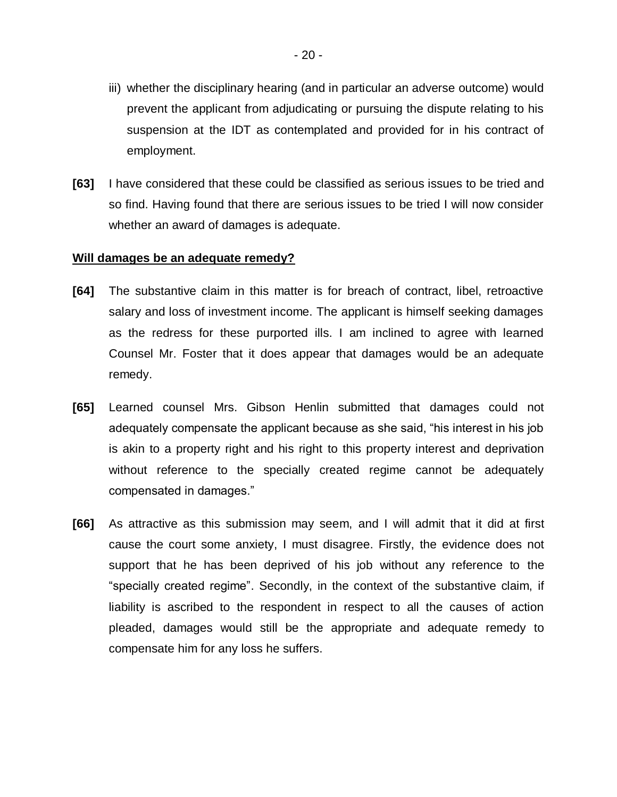- iii) whether the disciplinary hearing (and in particular an adverse outcome) would prevent the applicant from adjudicating or pursuing the dispute relating to his suspension at the IDT as contemplated and provided for in his contract of employment.
- **[63]** I have considered that these could be classified as serious issues to be tried and so find. Having found that there are serious issues to be tried I will now consider whether an award of damages is adequate.

### **Will damages be an adequate remedy?**

- **[64]** The substantive claim in this matter is for breach of contract, libel, retroactive salary and loss of investment income. The applicant is himself seeking damages as the redress for these purported ills. I am inclined to agree with learned Counsel Mr. Foster that it does appear that damages would be an adequate remedy.
- **[65]** Learned counsel Mrs. Gibson Henlin submitted that damages could not adequately compensate the applicant because as she said, "his interest in his job is akin to a property right and his right to this property interest and deprivation without reference to the specially created regime cannot be adequately compensated in damages."
- **[66]** As attractive as this submission may seem, and I will admit that it did at first cause the court some anxiety, I must disagree. Firstly, the evidence does not support that he has been deprived of his job without any reference to the "specially created regime". Secondly, in the context of the substantive claim, if liability is ascribed to the respondent in respect to all the causes of action pleaded, damages would still be the appropriate and adequate remedy to compensate him for any loss he suffers.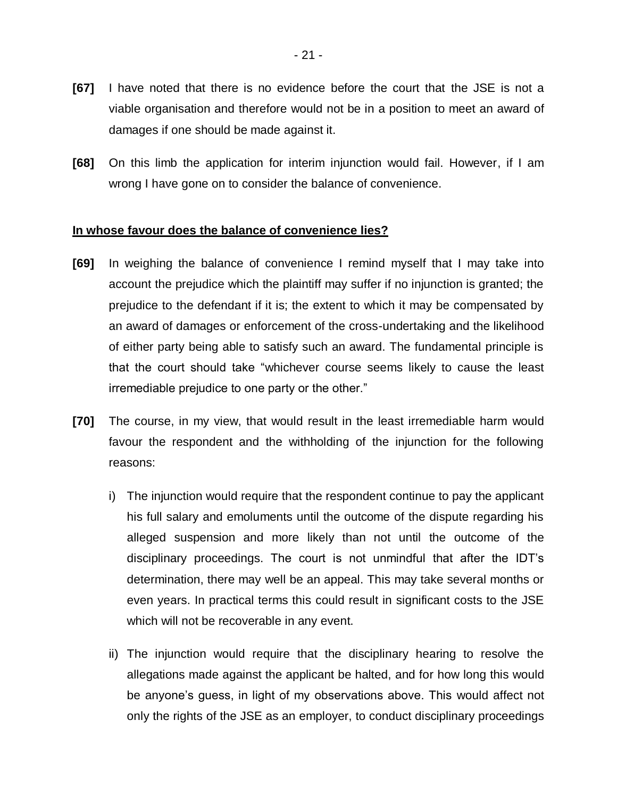- **[67]** I have noted that there is no evidence before the court that the JSE is not a viable organisation and therefore would not be in a position to meet an award of damages if one should be made against it.
- **[68]** On this limb the application for interim injunction would fail. However, if I am wrong I have gone on to consider the balance of convenience.

### **In whose favour does the balance of convenience lies?**

- **[69]** In weighing the balance of convenience I remind myself that I may take into account the prejudice which the plaintiff may suffer if no injunction is granted; the prejudice to the defendant if it is; the extent to which it may be compensated by an award of damages or enforcement of the cross-undertaking and the likelihood of either party being able to satisfy such an award. The fundamental principle is that the court should take "whichever course seems likely to cause the least irremediable prejudice to one party or the other."
- **[70]** The course, in my view, that would result in the least irremediable harm would favour the respondent and the withholding of the injunction for the following reasons:
	- i) The injunction would require that the respondent continue to pay the applicant his full salary and emoluments until the outcome of the dispute regarding his alleged suspension and more likely than not until the outcome of the disciplinary proceedings. The court is not unmindful that after the IDT's determination, there may well be an appeal. This may take several months or even years. In practical terms this could result in significant costs to the JSE which will not be recoverable in any event.
	- ii) The injunction would require that the disciplinary hearing to resolve the allegations made against the applicant be halted, and for how long this would be anyone's guess, in light of my observations above. This would affect not only the rights of the JSE as an employer, to conduct disciplinary proceedings